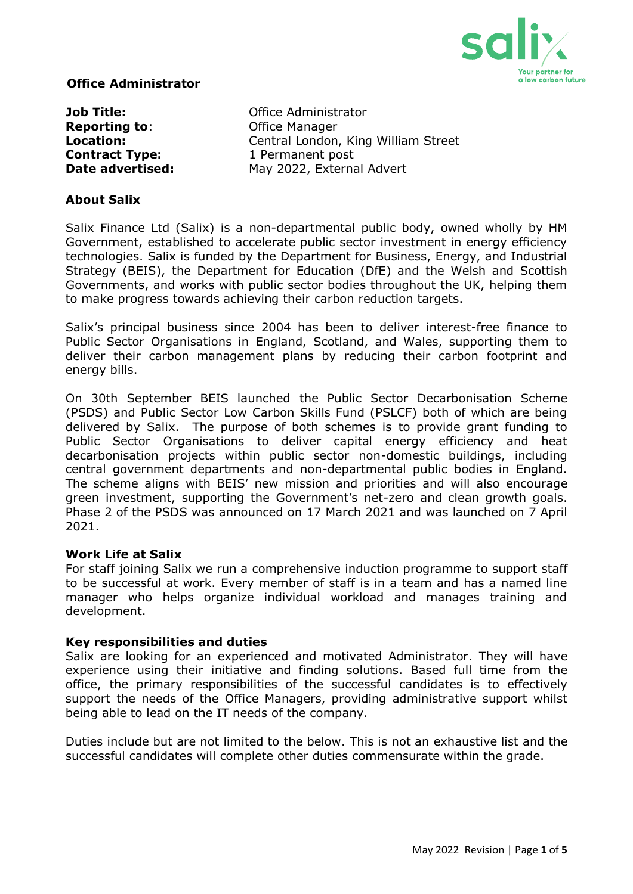

## **Office Administrator**

**Reporting to:** Office Manager **Contract Type:** 1 Permanent post

**Job Title: Communistrator** Office Administrator **Location: Central London, King William Street Date advertised:** May 2022, External Advert

## **About Salix**

Salix Finance Ltd (Salix) is a non-departmental public body, owned wholly by HM Government, established to accelerate public sector investment in energy efficiency technologies. Salix is funded by the Department for Business, Energy, and Industrial Strategy (BEIS), the Department for Education (DfE) and the Welsh and Scottish Governments, and works with public sector bodies throughout the UK, helping them to make progress towards achieving their carbon reduction targets.

Salix's principal business since 2004 has been to deliver interest-free finance to Public Sector Organisations in England, Scotland, and Wales, supporting them to deliver their carbon management plans by reducing their carbon footprint and energy bills.

On 30th September BEIS launched the Public Sector Decarbonisation Scheme (PSDS) and Public Sector Low Carbon Skills Fund (PSLCF) both of which are being delivered by Salix. The purpose of both schemes is to provide grant funding to Public Sector Organisations to deliver capital energy efficiency and heat decarbonisation projects within public sector non-domestic buildings, including central government departments and non-departmental public bodies in England. The scheme aligns with BEIS' new mission and priorities and will also encourage green investment, supporting the Government's net-zero and clean growth goals. Phase 2 of the PSDS was announced on 17 March 2021 and was launched on 7 April 2021.

#### **Work Life at Salix**

For staff joining Salix we run a comprehensive induction programme to support staff to be successful at work. Every member of staff is in a team and has a named line manager who helps organize individual workload and manages training and development.

#### **Key responsibilities and duties**

Salix are looking for an experienced and motivated Administrator. They will have experience using their initiative and finding solutions. Based full time from the office, the primary responsibilities of the successful candidates is to effectively support the needs of the Office Managers, providing administrative support whilst being able to lead on the IT needs of the company.

Duties include but are not limited to the below. This is not an exhaustive list and the successful candidates will complete other duties commensurate within the grade.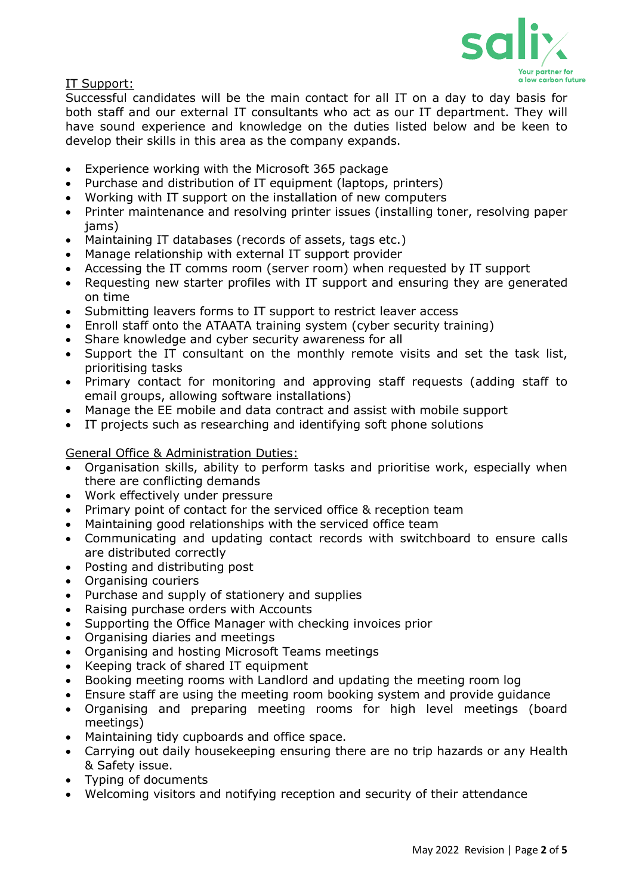

IT Support:

Successful candidates will be the main contact for all IT on a day to day basis for both staff and our external IT consultants who act as our IT department. They will have sound experience and knowledge on the duties listed below and be keen to develop their skills in this area as the company expands.

- Experience working with the Microsoft 365 package
- Purchase and distribution of IT equipment (laptops, printers)
- Working with IT support on the installation of new computers
- Printer maintenance and resolving printer issues (installing toner, resolving paper jams)
- Maintaining IT databases (records of assets, tags etc.)
- Manage relationship with external IT support provider
- Accessing the IT comms room (server room) when requested by IT support
- Requesting new starter profiles with IT support and ensuring they are generated on time
- Submitting leavers forms to IT support to restrict leaver access
- Enroll staff onto the ATAATA training system (cyber security training)
- Share knowledge and cyber security awareness for all
- Support the IT consultant on the monthly remote visits and set the task list, prioritising tasks
- Primary contact for monitoring and approving staff requests (adding staff to email groups, allowing software installations)
- Manage the EE mobile and data contract and assist with mobile support
- IT projects such as researching and identifying soft phone solutions

## General Office & Administration Duties:

- Organisation skills, ability to perform tasks and prioritise work, especially when there are conflicting demands
- Work effectively under pressure
- Primary point of contact for the serviced office & reception team
- Maintaining good relationships with the serviced office team
- Communicating and updating contact records with switchboard to ensure calls are distributed correctly
- Posting and distributing post
- Organising couriers
- Purchase and supply of stationery and supplies
- Raising purchase orders with Accounts
- Supporting the Office Manager with checking invoices prior
- Organising diaries and meetings
- Organising and hosting Microsoft Teams meetings
- Keeping track of shared IT equipment
- Booking meeting rooms with Landlord and updating the meeting room log
- Ensure staff are using the meeting room booking system and provide guidance
- Organising and preparing meeting rooms for high level meetings (board meetings)
- Maintaining tidy cupboards and office space.
- Carrying out daily housekeeping ensuring there are no trip hazards or any Health & Safety issue.
- Typing of documents
- Welcoming visitors and notifying reception and security of their attendance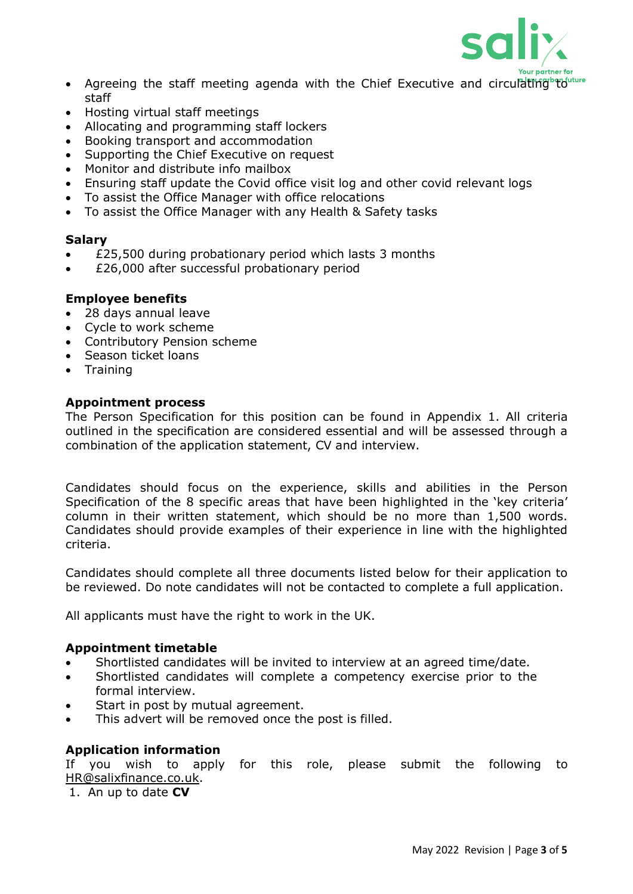

- Agreeing the staff meeting agenda with the Chief Executive and circulating and the staff
- Hosting virtual staff meetings
- Allocating and programming staff lockers
- Booking transport and accommodation
- Supporting the Chief Executive on request
- Monitor and distribute info mailbox
- Ensuring staff update the Covid office visit log and other covid relevant logs
- To assist the Office Manager with office relocations
- To assist the Office Manager with any Health & Safety tasks

## **Salary**

- £25,500 during probationary period which lasts 3 months
- £26,000 after successful probationary period

## **Employee benefits**

- 28 days annual leave
- Cycle to work scheme
- Contributory Pension scheme
- Season ticket loans
- Training

# **Appointment process**

The Person Specification for this position can be found in Appendix 1. All criteria outlined in the specification are considered essential and will be assessed through a combination of the application statement, CV and interview.

Candidates should focus on the experience, skills and abilities in the Person Specification of the 8 specific areas that have been highlighted in the 'key criteria' column in their written statement, which should be no more than 1,500 words. Candidates should provide examples of their experience in line with the highlighted criteria.

Candidates should complete all three documents listed below for their application to be reviewed. Do note candidates will not be contacted to complete a full application.

All applicants must have the right to work in the UK.

#### **Appointment timetable**

- Shortlisted candidates will be invited to interview at an agreed time/date.
- Shortlisted candidates will complete a competency exercise prior to the formal interview.
- Start in post by mutual agreement.
- This advert will be removed once the post is filled.

# **Application information**

If you wish to apply for this role, please submit the following to [HR@salixfinance.co.uk.](mailto:HR@salixfinance.co.uk)

1. An up to date **CV**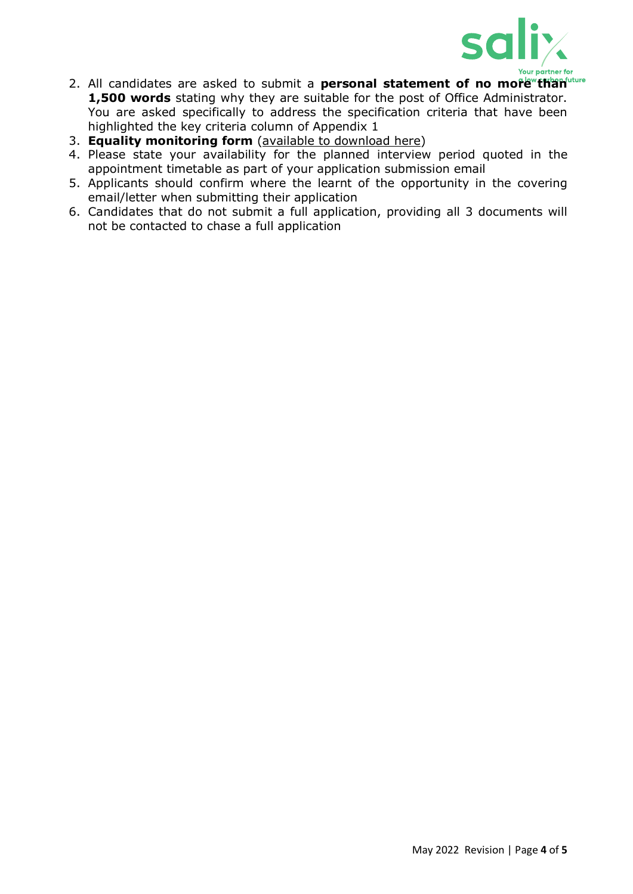

- 2. All candidates are asked to submit a **personal statement of no more than 1,500 words** stating why they are suitable for the post of Office Administrator. You are asked specifically to address the specification criteria that have been highlighted the key criteria column of Appendix 1
- 3. **Equality monitoring form** [\(available to download](http://salixfinance.co.uk/sites/default/files/equality_monitoring_form_equality_act_compliant_0_2.doc) here)
- 4. Please state your availability for the planned interview period quoted in the appointment timetable as part of your application submission email
- 5. Applicants should confirm where the learnt of the opportunity in the covering email/letter when submitting their application
- 6. Candidates that do not submit a full application, providing all 3 documents will not be contacted to chase a full application